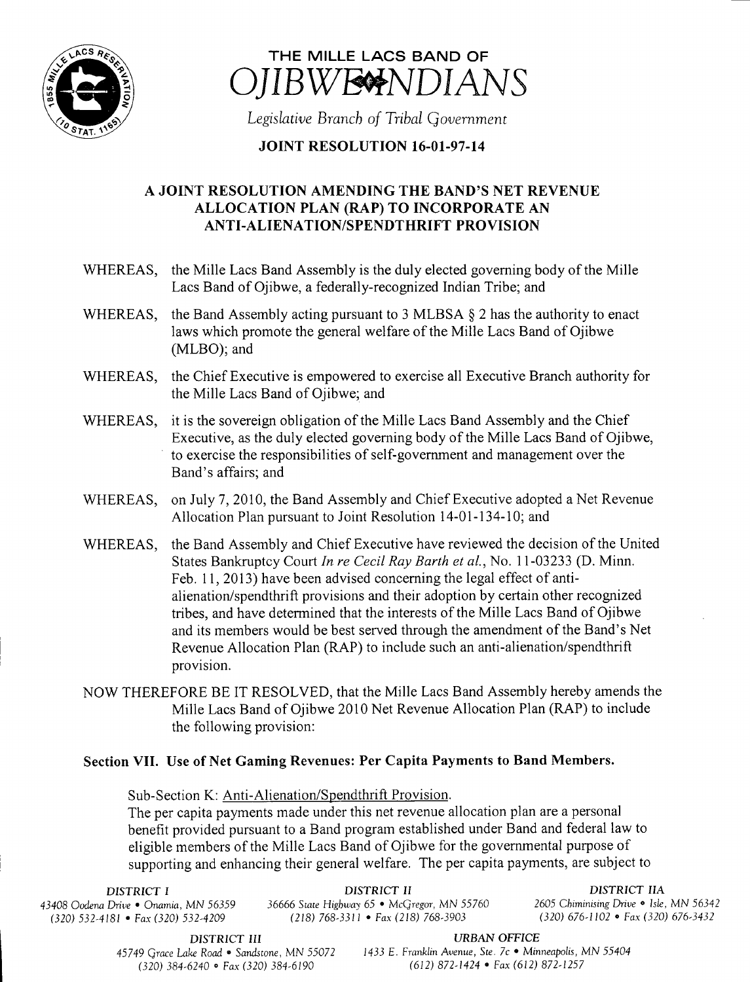



Legislative Branch of Tribal Government

## **JOINT RESOLUTION 16-01-97-14**

## A JOINT RESOLUTION AMENDING THE BAND'S NET REVENUE ALLOCATION PLAN (RAP) TO INCORPORATE AN ANTI-ALIENATION/SPENDTHRIFT PROVISION

- WHEREAS, the Mille Lacs Band Assembly is the duly elected governing body of the Mille Lacs Band of Ojibwe, a federally-recognized Indian Tribe; and
- WHEREAS, the Band Assembly acting pursuant to 3 MLBSA  $\S$  2 has the authority to enact laws which promote the general welfare of the Mille Lacs Band of Ojibwe MLBO); and
- WHEREAS, the Chief Executive is empowered to exercise all Executive Branch authority for the Mille Lacs Band of Ojibwe; and
- WHEREAS, it is the sovereign obligation of the Mille Lacs Band Assembly and the Chief Executive, as the duly elected governing body of the Mille Lacs Band of Ojibwe, to exercise the responsibilities of self-government and management over the Band's affairs; and
- WHEREAS, on July 7, 2010, the Band Assembly and Chief Executive adopted <sup>a</sup> Net Revenue Allocation Plan pursuant to Joint Resolution 14-01-134-10; and
- WHEREAS, the Band Assembly and Chief Executive have reviewed the decision of the United States Bankruptcy Court In re Cecil Ray Barth et al., No. 11-03233 (D. Minn. Feb. 11, 2013) have been advised concerning the legal effect of antialienation/spendthrift provisions and their adoption by certain other recognized tribes, and have determined that the interests of the Mille Lacs Band of Ojibwe and its members would be best served through the amendment of the Band's Net Revenue Allocation Plan (RAP) to include such an anti-alienation/spendthrift provision.
- NOW THEREFORE BE IT RESOLVED, that the Mille Lacs Band Assembly hereby amends the Mille Lacs Band of Ojibwe 2010 Net Revenue Allocation Plan (RAP) to include the following provision:

## Section VII. Use of Net Gaming Revenues: Per Capita Payments to Band Members.

Sub- Section K: Anti-Alienation/Spendthrift Provision.

The per capita payments made under this net revenue allocation plan are a personal benefit provided pursuant to a Band program established under Band and federal law to eligible members of the Mille Lacs Band of Ojibwe for the governmental purpose of supporting and enhancing their general welfare. The per capita payments, are subject to

DISTRICT I DISTRICT II DISTRICT II DISTRICT II<br>DISTRICT IIA Drive • Onamia, MN 56359 36666 State Highway 65 • McGregor, MN 55760 2605 Chiminising Drive • Isle, MN 56342 43408 Oodena Drive • Onamia, MN 56359 36666 State Highway 65 • McGregor, MN 55760 2605 Chiminising Drive • Isle, MN 56342<br>(320) 532-4181 • Fax (320) 532-4209 (218) 768-3311 • Fax (218) 768-3903 (320) 676-1102 • Fax (320) 6  $(320)$  532-4181 • Fax(320) 532-4209

**DISTRICT III**<br>45749 Grace Lake Road • Sandstone, MN 55072 1433 E. Franklin Avenue, Ste. 7c • Min  $(320)$  384-6240 • Fax $(320)$  384-6190

1433 E. Franklin Avenue, Ste. 7c • Minneapolis, MN 55404<br>(612) 872-1424 • Fax (612) 872-1257